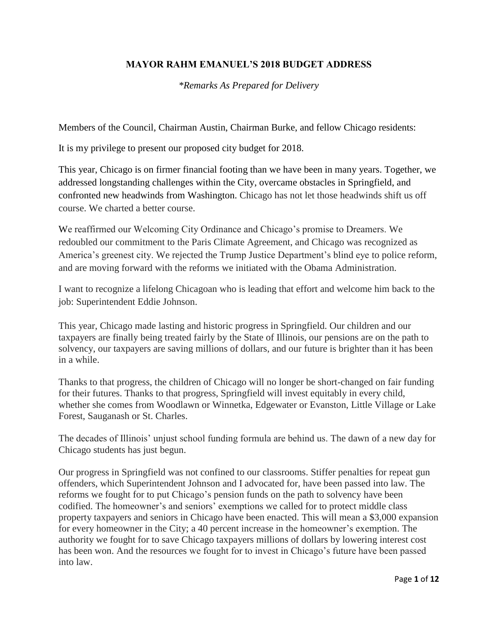## **MAYOR RAHM EMANUEL'S 2018 BUDGET ADDRESS**

*\*Remarks As Prepared for Delivery*

Members of the Council, Chairman Austin, Chairman Burke, and fellow Chicago residents:

It is my privilege to present our proposed city budget for 2018.

This year, Chicago is on firmer financial footing than we have been in many years. Together, we addressed longstanding challenges within the City, overcame obstacles in Springfield, and confronted new headwinds from Washington. Chicago has not let those headwinds shift us off course. We charted a better course.

We reaffirmed our Welcoming City Ordinance and Chicago's promise to Dreamers. We redoubled our commitment to the Paris Climate Agreement, and Chicago was recognized as America's greenest city. We rejected the Trump Justice Department's blind eye to police reform, and are moving forward with the reforms we initiated with the Obama Administration.

I want to recognize a lifelong Chicagoan who is leading that effort and welcome him back to the job: Superintendent Eddie Johnson.

This year, Chicago made lasting and historic progress in Springfield. Our children and our taxpayers are finally being treated fairly by the State of Illinois, our pensions are on the path to solvency, our taxpayers are saving millions of dollars, and our future is brighter than it has been in a while.

Thanks to that progress, the children of Chicago will no longer be short-changed on fair funding for their futures. Thanks to that progress, Springfield will invest equitably in every child, whether she comes from Woodlawn or Winnetka, Edgewater or Evanston, Little Village or Lake Forest, Sauganash or St. Charles.

The decades of Illinois' unjust school funding formula are behind us. The dawn of a new day for Chicago students has just begun.

Our progress in Springfield was not confined to our classrooms. Stiffer penalties for repeat gun offenders, which Superintendent Johnson and I advocated for, have been passed into law. The reforms we fought for to put Chicago's pension funds on the path to solvency have been codified. The homeowner's and seniors' exemptions we called for to protect middle class property taxpayers and seniors in Chicago have been enacted. This will mean a \$3,000 expansion for every homeowner in the City; a 40 percent increase in the homeowner's exemption. The authority we fought for to save Chicago taxpayers millions of dollars by lowering interest cost has been won. And the resources we fought for to invest in Chicago's future have been passed into law.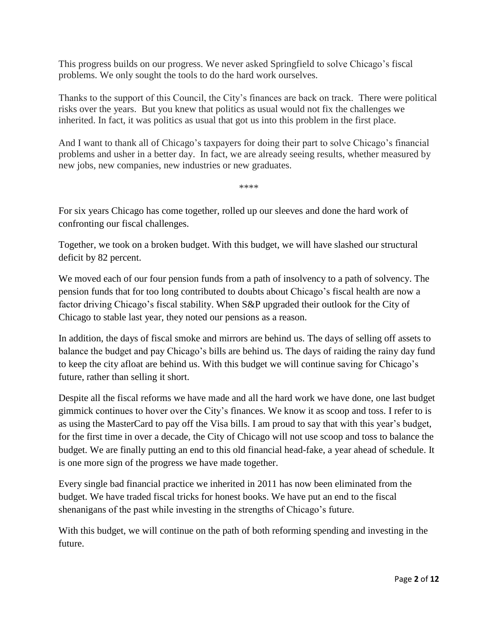This progress builds on our progress. We never asked Springfield to solve Chicago's fiscal problems. We only sought the tools to do the hard work ourselves.

Thanks to the support of this Council, the City's finances are back on track. There were political risks over the years. But you knew that politics as usual would not fix the challenges we inherited. In fact, it was politics as usual that got us into this problem in the first place.

And I want to thank all of Chicago's taxpayers for doing their part to solve Chicago's financial problems and usher in a better day. In fact, we are already seeing results, whether measured by new jobs, new companies, new industries or new graduates.

\*\*\*\*

For six years Chicago has come together, rolled up our sleeves and done the hard work of confronting our fiscal challenges.

Together, we took on a broken budget. With this budget, we will have slashed our structural deficit by 82 percent.

We moved each of our four pension funds from a path of insolvency to a path of solvency. The pension funds that for too long contributed to doubts about Chicago's fiscal health are now a factor driving Chicago's fiscal stability. When S&P upgraded their outlook for the City of Chicago to stable last year, they noted our pensions as a reason.

In addition, the days of fiscal smoke and mirrors are behind us. The days of selling off assets to balance the budget and pay Chicago's bills are behind us. The days of raiding the rainy day fund to keep the city afloat are behind us. With this budget we will continue saving for Chicago's future, rather than selling it short.

Despite all the fiscal reforms we have made and all the hard work we have done, one last budget gimmick continues to hover over the City's finances. We know it as scoop and toss. I refer to is as using the MasterCard to pay off the Visa bills. I am proud to say that with this year's budget, for the first time in over a decade, the City of Chicago will not use scoop and toss to balance the budget. We are finally putting an end to this old financial head-fake, a year ahead of schedule. It is one more sign of the progress we have made together.

Every single bad financial practice we inherited in 2011 has now been eliminated from the budget. We have traded fiscal tricks for honest books. We have put an end to the fiscal shenanigans of the past while investing in the strengths of Chicago's future.

With this budget, we will continue on the path of both reforming spending and investing in the future.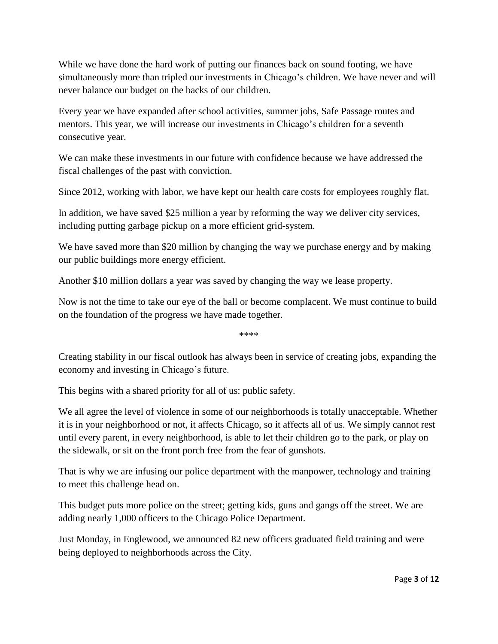While we have done the hard work of putting our finances back on sound footing, we have simultaneously more than tripled our investments in Chicago's children. We have never and will never balance our budget on the backs of our children.

Every year we have expanded after school activities, summer jobs, Safe Passage routes and mentors. This year, we will increase our investments in Chicago's children for a seventh consecutive year.

We can make these investments in our future with confidence because we have addressed the fiscal challenges of the past with conviction.

Since 2012, working with labor, we have kept our health care costs for employees roughly flat.

In addition, we have saved \$25 million a year by reforming the way we deliver city services, including putting garbage pickup on a more efficient grid-system.

We have saved more than \$20 million by changing the way we purchase energy and by making our public buildings more energy efficient.

Another \$10 million dollars a year was saved by changing the way we lease property.

Now is not the time to take our eye of the ball or become complacent. We must continue to build on the foundation of the progress we have made together.

\*\*\*\*

Creating stability in our fiscal outlook has always been in service of creating jobs, expanding the economy and investing in Chicago's future.

This begins with a shared priority for all of us: public safety.

We all agree the level of violence in some of our neighborhoods is totally unacceptable. Whether it is in your neighborhood or not, it affects Chicago, so it affects all of us. We simply cannot rest until every parent, in every neighborhood, is able to let their children go to the park, or play on the sidewalk, or sit on the front porch free from the fear of gunshots.

That is why we are infusing our police department with the manpower, technology and training to meet this challenge head on.

This budget puts more police on the street; getting kids, guns and gangs off the street. We are adding nearly 1,000 officers to the Chicago Police Department.

Just Monday, in Englewood, we announced 82 new officers graduated field training and were being deployed to neighborhoods across the City.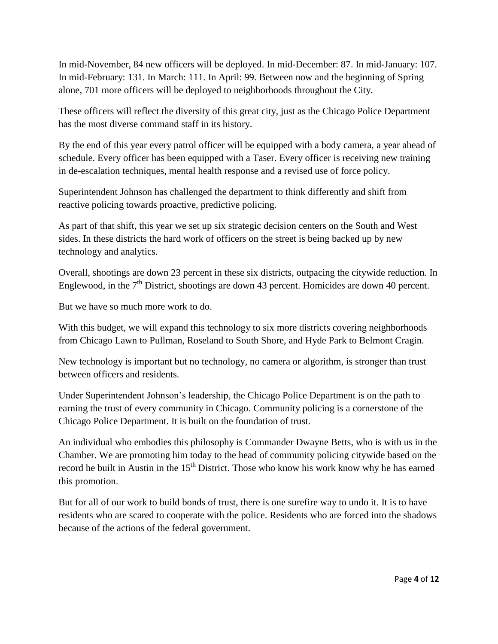In mid-November, 84 new officers will be deployed. In mid-December: 87. In mid-January: 107. In mid-February: 131. In March: 111. In April: 99. Between now and the beginning of Spring alone, 701 more officers will be deployed to neighborhoods throughout the City.

These officers will reflect the diversity of this great city, just as the Chicago Police Department has the most diverse command staff in its history.

By the end of this year every patrol officer will be equipped with a body camera, a year ahead of schedule. Every officer has been equipped with a Taser. Every officer is receiving new training in de-escalation techniques, mental health response and a revised use of force policy.

Superintendent Johnson has challenged the department to think differently and shift from reactive policing towards proactive, predictive policing.

As part of that shift, this year we set up six strategic decision centers on the South and West sides. In these districts the hard work of officers on the street is being backed up by new technology and analytics.

Overall, shootings are down 23 percent in these six districts, outpacing the citywide reduction. In Englewood, in the  $7<sup>th</sup>$  District, shootings are down 43 percent. Homicides are down 40 percent.

But we have so much more work to do.

With this budget, we will expand this technology to six more districts covering neighborhoods from Chicago Lawn to Pullman, Roseland to South Shore, and Hyde Park to Belmont Cragin.

New technology is important but no technology, no camera or algorithm, is stronger than trust between officers and residents.

Under Superintendent Johnson's leadership, the Chicago Police Department is on the path to earning the trust of every community in Chicago. Community policing is a cornerstone of the Chicago Police Department. It is built on the foundation of trust.

An individual who embodies this philosophy is Commander Dwayne Betts, who is with us in the Chamber. We are promoting him today to the head of community policing citywide based on the record he built in Austin in the  $15<sup>th</sup>$  District. Those who know his work know why he has earned this promotion.

But for all of our work to build bonds of trust, there is one surefire way to undo it. It is to have residents who are scared to cooperate with the police. Residents who are forced into the shadows because of the actions of the federal government.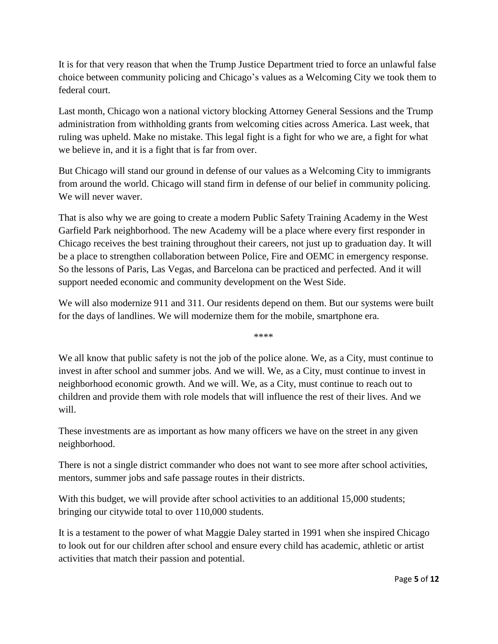It is for that very reason that when the Trump Justice Department tried to force an unlawful false choice between community policing and Chicago's values as a Welcoming City we took them to federal court.

Last month, Chicago won a national victory blocking Attorney General Sessions and the Trump administration from withholding grants from welcoming cities across America. Last week, that ruling was upheld. Make no mistake. This legal fight is a fight for who we are, a fight for what we believe in, and it is a fight that is far from over.

But Chicago will stand our ground in defense of our values as a Welcoming City to immigrants from around the world. Chicago will stand firm in defense of our belief in community policing. We will never waver.

That is also why we are going to create a modern Public Safety Training Academy in the West Garfield Park neighborhood. The new Academy will be a place where every first responder in Chicago receives the best training throughout their careers, not just up to graduation day. It will be a place to strengthen collaboration between Police, Fire and OEMC in emergency response. So the lessons of Paris, Las Vegas, and Barcelona can be practiced and perfected. And it will support needed economic and community development on the West Side.

We will also modernize 911 and 311. Our residents depend on them. But our systems were built for the days of landlines. We will modernize them for the mobile, smartphone era.

\*\*\*\*

We all know that public safety is not the job of the police alone. We, as a City, must continue to invest in after school and summer jobs. And we will. We, as a City, must continue to invest in neighborhood economic growth. And we will. We, as a City, must continue to reach out to children and provide them with role models that will influence the rest of their lives. And we will.

These investments are as important as how many officers we have on the street in any given neighborhood.

There is not a single district commander who does not want to see more after school activities, mentors, summer jobs and safe passage routes in their districts.

With this budget, we will provide after school activities to an additional 15,000 students; bringing our citywide total to over 110,000 students.

It is a testament to the power of what Maggie Daley started in 1991 when she inspired Chicago to look out for our children after school and ensure every child has academic, athletic or artist activities that match their passion and potential.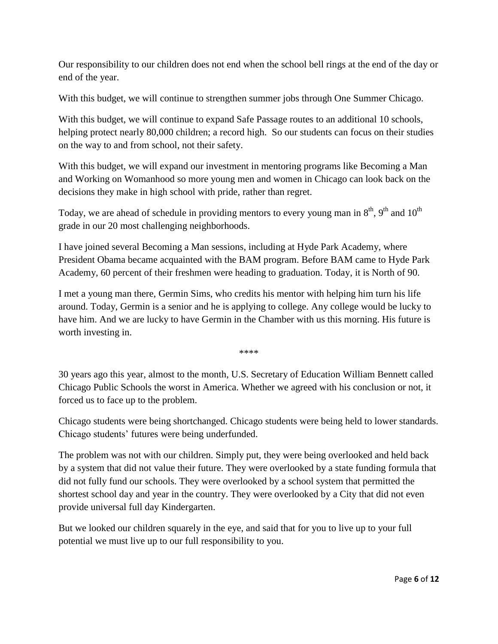Our responsibility to our children does not end when the school bell rings at the end of the day or end of the year.

With this budget, we will continue to strengthen summer jobs through One Summer Chicago.

With this budget, we will continue to expand Safe Passage routes to an additional 10 schools, helping protect nearly 80,000 children; a record high. So our students can focus on their studies on the way to and from school, not their safety.

With this budget, we will expand our investment in mentoring programs like Becoming a Man and Working on Womanhood so more young men and women in Chicago can look back on the decisions they make in high school with pride, rather than regret.

Today, we are ahead of schedule in providing mentors to every young man in  $8<sup>th</sup>$ ,  $9<sup>th</sup>$  and  $10<sup>th</sup>$ grade in our 20 most challenging neighborhoods.

I have joined several Becoming a Man sessions, including at Hyde Park Academy, where President Obama became acquainted with the BAM program. Before BAM came to Hyde Park Academy, 60 percent of their freshmen were heading to graduation. Today, it is North of 90.

I met a young man there, Germin Sims, who credits his mentor with helping him turn his life around. Today, Germin is a senior and he is applying to college. Any college would be lucky to have him. And we are lucky to have Germin in the Chamber with us this morning. His future is worth investing in.

\*\*\*\*

30 years ago this year, almost to the month, U.S. Secretary of Education William Bennett called Chicago Public Schools the worst in America. Whether we agreed with his conclusion or not, it forced us to face up to the problem.

Chicago students were being shortchanged. Chicago students were being held to lower standards. Chicago students' futures were being underfunded.

The problem was not with our children. Simply put, they were being overlooked and held back by a system that did not value their future. They were overlooked by a state funding formula that did not fully fund our schools. They were overlooked by a school system that permitted the shortest school day and year in the country. They were overlooked by a City that did not even provide universal full day Kindergarten.

But we looked our children squarely in the eye, and said that for you to live up to your full potential we must live up to our full responsibility to you.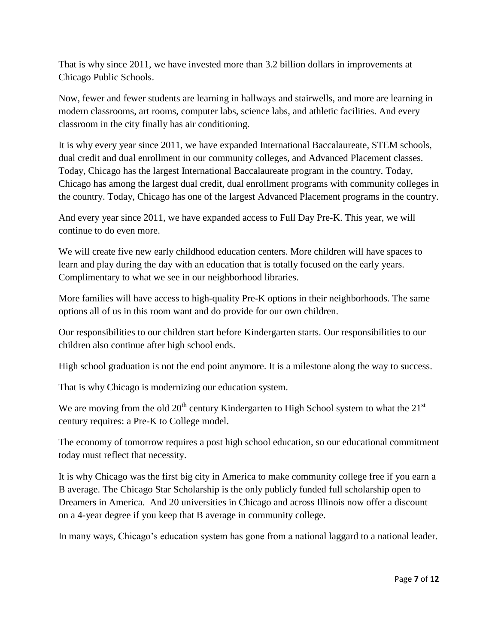That is why since 2011, we have invested more than 3.2 billion dollars in improvements at Chicago Public Schools.

Now, fewer and fewer students are learning in hallways and stairwells, and more are learning in modern classrooms, art rooms, computer labs, science labs, and athletic facilities. And every classroom in the city finally has air conditioning.

It is why every year since 2011, we have expanded International Baccalaureate, STEM schools, dual credit and dual enrollment in our community colleges, and Advanced Placement classes. Today, Chicago has the largest International Baccalaureate program in the country. Today, Chicago has among the largest dual credit, dual enrollment programs with community colleges in the country. Today, Chicago has one of the largest Advanced Placement programs in the country.

And every year since 2011, we have expanded access to Full Day Pre-K. This year, we will continue to do even more.

We will create five new early childhood education centers. More children will have spaces to learn and play during the day with an education that is totally focused on the early years. Complimentary to what we see in our neighborhood libraries.

More families will have access to high-quality Pre-K options in their neighborhoods. The same options all of us in this room want and do provide for our own children.

Our responsibilities to our children start before Kindergarten starts. Our responsibilities to our children also continue after high school ends.

High school graduation is not the end point anymore. It is a milestone along the way to success.

That is why Chicago is modernizing our education system.

We are moving from the old  $20<sup>th</sup>$  century Kindergarten to High School system to what the  $21<sup>st</sup>$ century requires: a Pre-K to College model.

The economy of tomorrow requires a post high school education, so our educational commitment today must reflect that necessity.

It is why Chicago was the first big city in America to make community college free if you earn a B average. The Chicago Star Scholarship is the only publicly funded full scholarship open to Dreamers in America. And 20 universities in Chicago and across Illinois now offer a discount on a 4-year degree if you keep that B average in community college.

In many ways, Chicago's education system has gone from a national laggard to a national leader.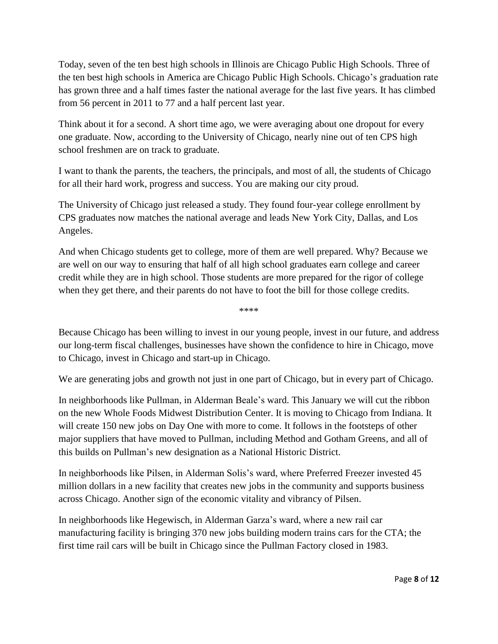Today, seven of the ten best high schools in Illinois are Chicago Public High Schools. Three of the ten best high schools in America are Chicago Public High Schools. Chicago's graduation rate has grown three and a half times faster the national average for the last five years. It has climbed from 56 percent in 2011 to 77 and a half percent last year.

Think about it for a second. A short time ago, we were averaging about one dropout for every one graduate. Now, according to the University of Chicago, nearly nine out of ten CPS high school freshmen are on track to graduate.

I want to thank the parents, the teachers, the principals, and most of all, the students of Chicago for all their hard work, progress and success. You are making our city proud.

The University of Chicago just released a study. They found four-year college enrollment by CPS graduates now matches the national average and leads New York City, Dallas, and Los Angeles.

And when Chicago students get to college, more of them are well prepared. Why? Because we are well on our way to ensuring that half of all high school graduates earn college and career credit while they are in high school. Those students are more prepared for the rigor of college when they get there, and their parents do not have to foot the bill for those college credits.

Because Chicago has been willing to invest in our young people, invest in our future, and address our long-term fiscal challenges, businesses have shown the confidence to hire in Chicago, move to Chicago, invest in Chicago and start-up in Chicago.

\*\*\*\*

We are generating jobs and growth not just in one part of Chicago, but in every part of Chicago.

In neighborhoods like Pullman, in Alderman Beale's ward. This January we will cut the ribbon on the new Whole Foods Midwest Distribution Center. It is moving to Chicago from Indiana. It will create 150 new jobs on Day One with more to come. It follows in the footsteps of other major suppliers that have moved to Pullman, including Method and Gotham Greens, and all of this builds on Pullman's new designation as a National Historic District.

In neighborhoods like Pilsen, in Alderman Solis's ward, where Preferred Freezer invested 45 million dollars in a new facility that creates new jobs in the community and supports business across Chicago. Another sign of the economic vitality and vibrancy of Pilsen.

In neighborhoods like Hegewisch, in Alderman Garza's ward, where a new rail car manufacturing facility is bringing 370 new jobs building modern trains cars for the CTA; the first time rail cars will be built in Chicago since the Pullman Factory closed in 1983.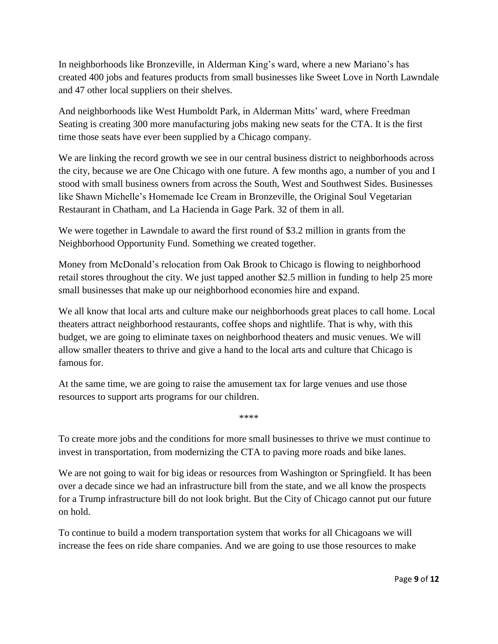In neighborhoods like Bronzeville, in Alderman King's ward, where a new Mariano's has created 400 jobs and features products from small businesses like Sweet Love in North Lawndale and 47 other local suppliers on their shelves.

And neighborhoods like West Humboldt Park, in Alderman Mitts' ward, where Freedman Seating is creating 300 more manufacturing jobs making new seats for the CTA. It is the first time those seats have ever been supplied by a Chicago company.

We are linking the record growth we see in our central business district to neighborhoods across the city, because we are One Chicago with one future. A few months ago, a number of you and I stood with small business owners from across the South, West and Southwest Sides. Businesses like Shawn Michelle's Homemade Ice Cream in Bronzeville, the Original Soul Vegetarian Restaurant in Chatham, and La Hacienda in Gage Park. 32 of them in all.

We were together in Lawndale to award the first round of \$3.2 million in grants from the Neighborhood Opportunity Fund. Something we created together.

Money from McDonald's relocation from Oak Brook to Chicago is flowing to neighborhood retail stores throughout the city. We just tapped another \$2.5 million in funding to help 25 more small businesses that make up our neighborhood economies hire and expand.

We all know that local arts and culture make our neighborhoods great places to call home. Local theaters attract neighborhood restaurants, coffee shops and nightlife. That is why, with this budget, we are going to eliminate taxes on neighborhood theaters and music venues. We will allow smaller theaters to thrive and give a hand to the local arts and culture that Chicago is famous for.

At the same time, we are going to raise the amusement tax for large venues and use those resources to support arts programs for our children.

To create more jobs and the conditions for more small businesses to thrive we must continue to invest in transportation, from modernizing the CTA to paving more roads and bike lanes.

\*\*\*\*

We are not going to wait for big ideas or resources from Washington or Springfield. It has been over a decade since we had an infrastructure bill from the state, and we all know the prospects for a Trump infrastructure bill do not look bright. But the City of Chicago cannot put our future on hold.

To continue to build a modern transportation system that works for all Chicagoans we will increase the fees on ride share companies. And we are going to use those resources to make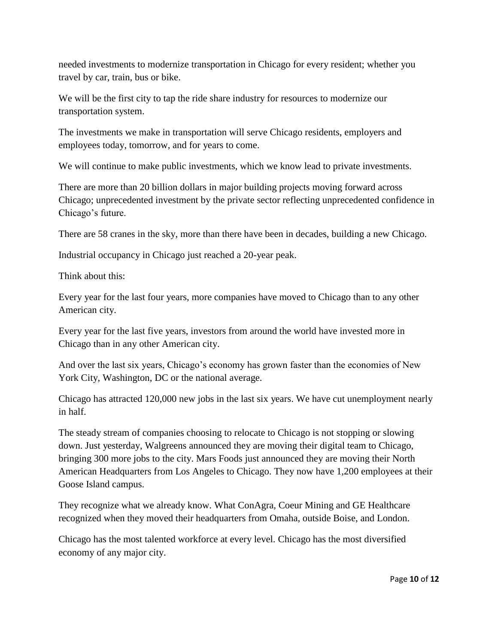needed investments to modernize transportation in Chicago for every resident; whether you travel by car, train, bus or bike.

We will be the first city to tap the ride share industry for resources to modernize our transportation system.

The investments we make in transportation will serve Chicago residents, employers and employees today, tomorrow, and for years to come.

We will continue to make public investments, which we know lead to private investments.

There are more than 20 billion dollars in major building projects moving forward across Chicago; unprecedented investment by the private sector reflecting unprecedented confidence in Chicago's future.

There are 58 cranes in the sky, more than there have been in decades, building a new Chicago.

Industrial occupancy in Chicago just reached a 20-year peak.

Think about this:

Every year for the last four years, more companies have moved to Chicago than to any other American city.

Every year for the last five years, investors from around the world have invested more in Chicago than in any other American city.

And over the last six years, Chicago's economy has grown faster than the economies of New York City, Washington, DC or the national average.

Chicago has attracted 120,000 new jobs in the last six years. We have cut unemployment nearly in half.

The steady stream of companies choosing to relocate to Chicago is not stopping or slowing down. Just yesterday, Walgreens announced they are moving their digital team to Chicago, bringing 300 more jobs to the city. Mars Foods just announced they are moving their North American Headquarters from Los Angeles to Chicago. They now have 1,200 employees at their Goose Island campus.

They recognize what we already know. What ConAgra, Coeur Mining and GE Healthcare recognized when they moved their headquarters from Omaha, outside Boise, and London.

Chicago has the most talented workforce at every level. Chicago has the most diversified economy of any major city.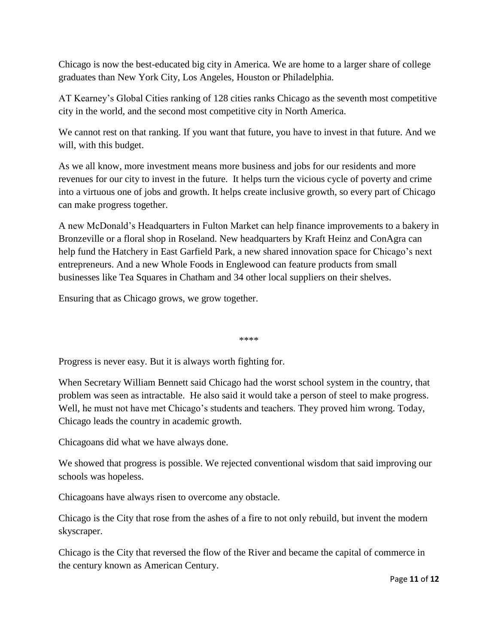Chicago is now the best-educated big city in America. We are home to a larger share of college graduates than New York City, Los Angeles, Houston or Philadelphia.

AT Kearney's Global Cities ranking of 128 cities ranks Chicago as the seventh most competitive city in the world, and the second most competitive city in North America.

We cannot rest on that ranking. If you want that future, you have to invest in that future. And we will, with this budget.

As we all know, more investment means more business and jobs for our residents and more revenues for our city to invest in the future. It helps turn the vicious cycle of poverty and crime into a virtuous one of jobs and growth. It helps create inclusive growth, so every part of Chicago can make progress together.

A new McDonald's Headquarters in Fulton Market can help finance improvements to a bakery in Bronzeville or a floral shop in Roseland. New headquarters by Kraft Heinz and ConAgra can help fund the Hatchery in East Garfield Park, a new shared innovation space for Chicago's next entrepreneurs. And a new Whole Foods in Englewood can feature products from small businesses like Tea Squares in Chatham and 34 other local suppliers on their shelves.

Ensuring that as Chicago grows, we grow together.

\*\*\*\*

Progress is never easy. But it is always worth fighting for.

When Secretary William Bennett said Chicago had the worst school system in the country, that problem was seen as intractable. He also said it would take a person of steel to make progress. Well, he must not have met Chicago's students and teachers. They proved him wrong. Today, Chicago leads the country in academic growth.

Chicagoans did what we have always done.

We showed that progress is possible. We rejected conventional wisdom that said improving our schools was hopeless.

Chicagoans have always risen to overcome any obstacle.

Chicago is the City that rose from the ashes of a fire to not only rebuild, but invent the modern skyscraper.

Chicago is the City that reversed the flow of the River and became the capital of commerce in the century known as American Century.